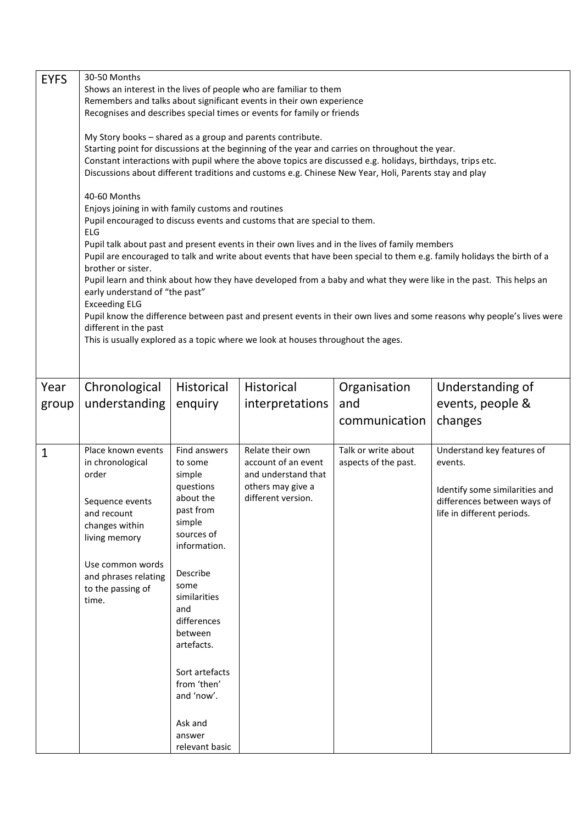| <b>EYFS</b> | 30-50 Months<br>Shows an interest in the lives of people who are familiar to them<br>Remembers and talks about significant events in their own experience<br>Recognises and describes special times or events for family or friends<br>My Story books - shared as a group and parents contribute.<br>Starting point for discussions at the beginning of the year and carries on throughout the year.<br>Constant interactions with pupil where the above topics are discussed e.g. holidays, birthdays, trips etc.<br>Discussions about different traditions and customs e.g. Chinese New Year, Holi, Parents stay and play<br>40-60 Months<br>Enjoys joining in with family customs and routines<br>Pupil encouraged to discuss events and customs that are special to them.<br>ELG<br>Pupil talk about past and present events in their own lives and in the lives of family members<br>Pupil are encouraged to talk and write about events that have been special to them e.g. family holidays the birth of a<br>brother or sister.<br>Pupil learn and think about how they have developed from a baby and what they were like in the past. This helps an<br>early understand of "the past"<br><b>Exceeding ELG</b><br>Pupil know the difference between past and present events in their own lives and some reasons why people's lives were<br>different in the past<br>This is usually explored as a topic where we look at houses throughout the ages. |                                                                                                                                                                                                                                                                                           |                                                                                                           |                                             |                                                                                                                                      |  |
|-------------|--------------------------------------------------------------------------------------------------------------------------------------------------------------------------------------------------------------------------------------------------------------------------------------------------------------------------------------------------------------------------------------------------------------------------------------------------------------------------------------------------------------------------------------------------------------------------------------------------------------------------------------------------------------------------------------------------------------------------------------------------------------------------------------------------------------------------------------------------------------------------------------------------------------------------------------------------------------------------------------------------------------------------------------------------------------------------------------------------------------------------------------------------------------------------------------------------------------------------------------------------------------------------------------------------------------------------------------------------------------------------------------------------------------------------------------------------------------|-------------------------------------------------------------------------------------------------------------------------------------------------------------------------------------------------------------------------------------------------------------------------------------------|-----------------------------------------------------------------------------------------------------------|---------------------------------------------|--------------------------------------------------------------------------------------------------------------------------------------|--|
| Year        | Chronological                                                                                                                                                                                                                                                                                                                                                                                                                                                                                                                                                                                                                                                                                                                                                                                                                                                                                                                                                                                                                                                                                                                                                                                                                                                                                                                                                                                                                                                | Historical                                                                                                                                                                                                                                                                                | Historical                                                                                                | Organisation                                | Understanding of                                                                                                                     |  |
| group       | understanding                                                                                                                                                                                                                                                                                                                                                                                                                                                                                                                                                                                                                                                                                                                                                                                                                                                                                                                                                                                                                                                                                                                                                                                                                                                                                                                                                                                                                                                | enquiry                                                                                                                                                                                                                                                                                   | interpretations                                                                                           | and                                         | events, people &                                                                                                                     |  |
|             |                                                                                                                                                                                                                                                                                                                                                                                                                                                                                                                                                                                                                                                                                                                                                                                                                                                                                                                                                                                                                                                                                                                                                                                                                                                                                                                                                                                                                                                              |                                                                                                                                                                                                                                                                                           |                                                                                                           | communication                               | changes                                                                                                                              |  |
| 1           | Place known events<br>in chronological<br>order<br>Sequence events<br>and recount<br>changes within<br>living memory<br>Use common words<br>and phrases relating<br>to the passing of<br>time.                                                                                                                                                                                                                                                                                                                                                                                                                                                                                                                                                                                                                                                                                                                                                                                                                                                                                                                                                                                                                                                                                                                                                                                                                                                               | Find answers<br>to some<br>simple<br>questions<br>about the<br>past from<br>simple<br>sources of<br>information.<br>Describe<br>some<br>similarities<br>and<br>differences<br>between<br>artefacts.<br>Sort artefacts<br>from 'then'<br>and 'now'.<br>Ask and<br>answer<br>relevant basic | Relate their own<br>account of an event<br>and understand that<br>others may give a<br>different version. | Talk or write about<br>aspects of the past. | Understand key features of<br>events.<br>Identify some similarities and<br>differences between ways of<br>life in different periods. |  |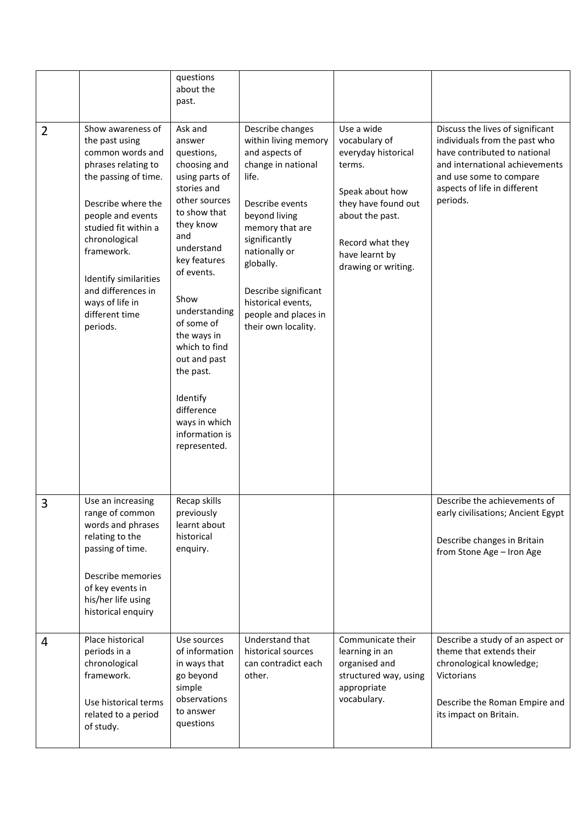|                |                                                                                                                                                                                                                                                                                                          | questions<br>about the<br>past.                                                                                                                                                                                                                                                                                                                                    |                                                                                                                                                                                                                                                                                              |                                                                                                                                                                                        |                                                                                                                                                                                                            |
|----------------|----------------------------------------------------------------------------------------------------------------------------------------------------------------------------------------------------------------------------------------------------------------------------------------------------------|--------------------------------------------------------------------------------------------------------------------------------------------------------------------------------------------------------------------------------------------------------------------------------------------------------------------------------------------------------------------|----------------------------------------------------------------------------------------------------------------------------------------------------------------------------------------------------------------------------------------------------------------------------------------------|----------------------------------------------------------------------------------------------------------------------------------------------------------------------------------------|------------------------------------------------------------------------------------------------------------------------------------------------------------------------------------------------------------|
| $\overline{2}$ | Show awareness of<br>the past using<br>common words and<br>phrases relating to<br>the passing of time.<br>Describe where the<br>people and events<br>studied fit within a<br>chronological<br>framework.<br>Identify similarities<br>and differences in<br>ways of life in<br>different time<br>periods. | Ask and<br>answer<br>questions,<br>choosing and<br>using parts of<br>stories and<br>other sources<br>to show that<br>they know<br>and<br>understand<br>key features<br>of events.<br>Show<br>understanding<br>of some of<br>the ways in<br>which to find<br>out and past<br>the past.<br>Identify<br>difference<br>ways in which<br>information is<br>represented. | Describe changes<br>within living memory<br>and aspects of<br>change in national<br>life.<br>Describe events<br>beyond living<br>memory that are<br>significantly<br>nationally or<br>globally.<br>Describe significant<br>historical events,<br>people and places in<br>their own locality. | Use a wide<br>vocabulary of<br>everyday historical<br>terms.<br>Speak about how<br>they have found out<br>about the past.<br>Record what they<br>have learnt by<br>drawing or writing. | Discuss the lives of significant<br>individuals from the past who<br>have contributed to national<br>and international achievements<br>and use some to compare<br>aspects of life in different<br>periods. |
| 3              | Use an increasing<br>range of common<br>words and phrases<br>relating to the<br>passing of time.<br>Describe memories<br>of key events in<br>his/her life using<br>historical enquiry                                                                                                                    | Recap skills<br>previously<br>learnt about<br>historical<br>enquiry.                                                                                                                                                                                                                                                                                               |                                                                                                                                                                                                                                                                                              |                                                                                                                                                                                        | Describe the achievements of<br>early civilisations; Ancient Egypt<br>Describe changes in Britain<br>from Stone Age - Iron Age                                                                             |
| 4              | Place historical<br>periods in a<br>chronological<br>framework.<br>Use historical terms<br>related to a period<br>of study.                                                                                                                                                                              | Use sources<br>of information<br>in ways that<br>go beyond<br>simple<br>observations<br>to answer<br>questions                                                                                                                                                                                                                                                     | Understand that<br>historical sources<br>can contradict each<br>other.                                                                                                                                                                                                                       | Communicate their<br>learning in an<br>organised and<br>structured way, using<br>appropriate<br>vocabulary.                                                                            | Describe a study of an aspect or<br>theme that extends their<br>chronological knowledge;<br>Victorians<br>Describe the Roman Empire and<br>its impact on Britain.                                          |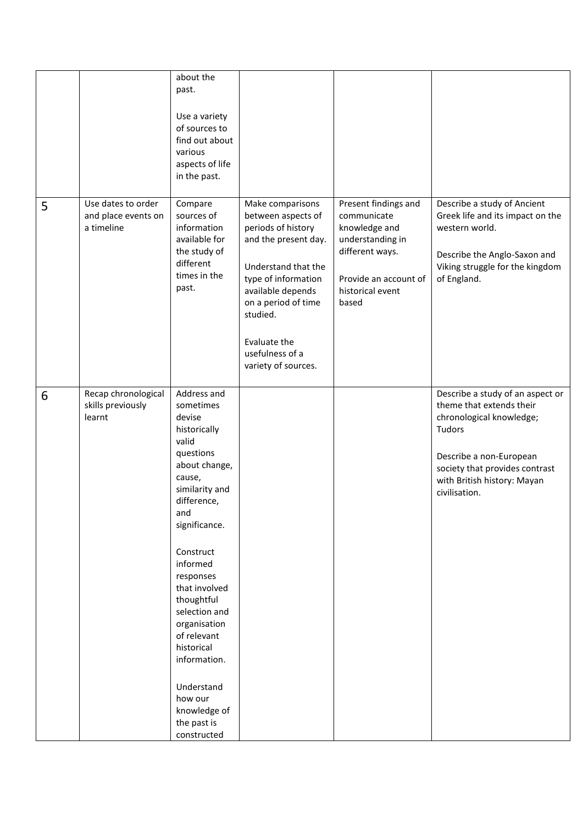|   |                                                         | about the<br>past.<br>Use a variety<br>of sources to<br>find out about<br>various<br>aspects of life<br>in the past.                                                                                                                                                                                                                                                                   |                                                                                                                                                                                                                                                      |                                                                                                                                                   |                                                                                                                                                                                                                 |
|---|---------------------------------------------------------|----------------------------------------------------------------------------------------------------------------------------------------------------------------------------------------------------------------------------------------------------------------------------------------------------------------------------------------------------------------------------------------|------------------------------------------------------------------------------------------------------------------------------------------------------------------------------------------------------------------------------------------------------|---------------------------------------------------------------------------------------------------------------------------------------------------|-----------------------------------------------------------------------------------------------------------------------------------------------------------------------------------------------------------------|
| 5 | Use dates to order<br>and place events on<br>a timeline | Compare<br>sources of<br>information<br>available for<br>the study of<br>different<br>times in the<br>past.                                                                                                                                                                                                                                                                            | Make comparisons<br>between aspects of<br>periods of history<br>and the present day.<br>Understand that the<br>type of information<br>available depends<br>on a period of time<br>studied.<br>Evaluate the<br>usefulness of a<br>variety of sources. | Present findings and<br>communicate<br>knowledge and<br>understanding in<br>different ways.<br>Provide an account of<br>historical event<br>based | Describe a study of Ancient<br>Greek life and its impact on the<br>western world.<br>Describe the Anglo-Saxon and<br>Viking struggle for the kingdom<br>of England.                                             |
| 6 | Recap chronological<br>skills previously<br>learnt      | Address and<br>sometimes<br>devise<br>historically<br>valid<br>questions<br>about change,<br>cause,<br>similarity and<br>difference,<br>and<br>significance.<br>Construct<br>informed<br>responses<br>that involved<br>thoughtful<br>selection and<br>organisation<br>of relevant<br>historical<br>information.<br>Understand<br>how our<br>knowledge of<br>the past is<br>constructed |                                                                                                                                                                                                                                                      |                                                                                                                                                   | Describe a study of an aspect or<br>theme that extends their<br>chronological knowledge;<br>Tudors<br>Describe a non-European<br>society that provides contrast<br>with British history: Mayan<br>civilisation. |